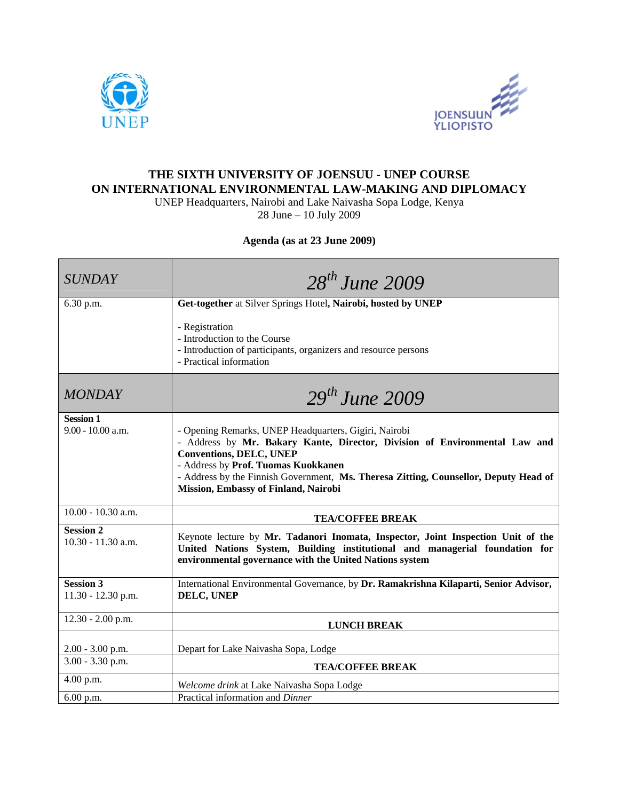



## **THE SIXTH UNIVERSITY OF JOENSUU - UNEP COURSE ON INTERNATIONAL ENVIRONMENTAL LAW-MAKING AND DIPLOMACY**

UNEP Headquarters, Nairobi and Lake Naivasha Sopa Lodge, Kenya

28 June – 10 July 2009

## **Agenda (as at 23 June 2009)**

| <b>SUNDAY</b>                            | $28^{th}$ June 2009                                                                                                                                                                                                                                                                                                                          |
|------------------------------------------|----------------------------------------------------------------------------------------------------------------------------------------------------------------------------------------------------------------------------------------------------------------------------------------------------------------------------------------------|
| 6.30 p.m.                                | Get-together at Silver Springs Hotel, Nairobi, hosted by UNEP                                                                                                                                                                                                                                                                                |
|                                          | - Registration<br>- Introduction to the Course<br>- Introduction of participants, organizers and resource persons<br>- Practical information                                                                                                                                                                                                 |
| <b>MONDAY</b>                            | $29th$ June 2009                                                                                                                                                                                                                                                                                                                             |
| <b>Session 1</b><br>9.00 - 10.00 a.m.    | - Opening Remarks, UNEP Headquarters, Gigiri, Nairobi<br>- Address by Mr. Bakary Kante, Director, Division of Environmental Law and<br><b>Conventions, DELC, UNEP</b><br>- Address by Prof. Tuomas Kuokkanen<br>- Address by the Finnish Government, Ms. Theresa Zitting, Counsellor, Deputy Head of<br>Mission, Embassy of Finland, Nairobi |
| $10.00 - 10.30$ a.m.                     | <b>TEA/COFFEE BREAK</b>                                                                                                                                                                                                                                                                                                                      |
| <b>Session 2</b><br>$10.30 - 11.30$ a.m. | Keynote lecture by Mr. Tadanori Inomata, Inspector, Joint Inspection Unit of the<br>United Nations System, Building institutional and managerial foundation for<br>environmental governance with the United Nations system                                                                                                                   |
| <b>Session 3</b><br>11.30 - 12.30 p.m.   | International Environmental Governance, by Dr. Ramakrishna Kilaparti, Senior Advisor,<br>DELC, UNEP                                                                                                                                                                                                                                          |
| 12.30 - 2.00 p.m.                        | <b>LUNCH BREAK</b>                                                                                                                                                                                                                                                                                                                           |
| $2.00 - 3.00$ p.m.                       | Depart for Lake Naivasha Sopa, Lodge                                                                                                                                                                                                                                                                                                         |
| $3.00 - 3.30$ p.m.                       | <b>TEA/COFFEE BREAK</b>                                                                                                                                                                                                                                                                                                                      |
| 4.00 p.m.                                | Welcome drink at Lake Naivasha Sopa Lodge                                                                                                                                                                                                                                                                                                    |
| 6.00 p.m.                                | Practical information and Dinner                                                                                                                                                                                                                                                                                                             |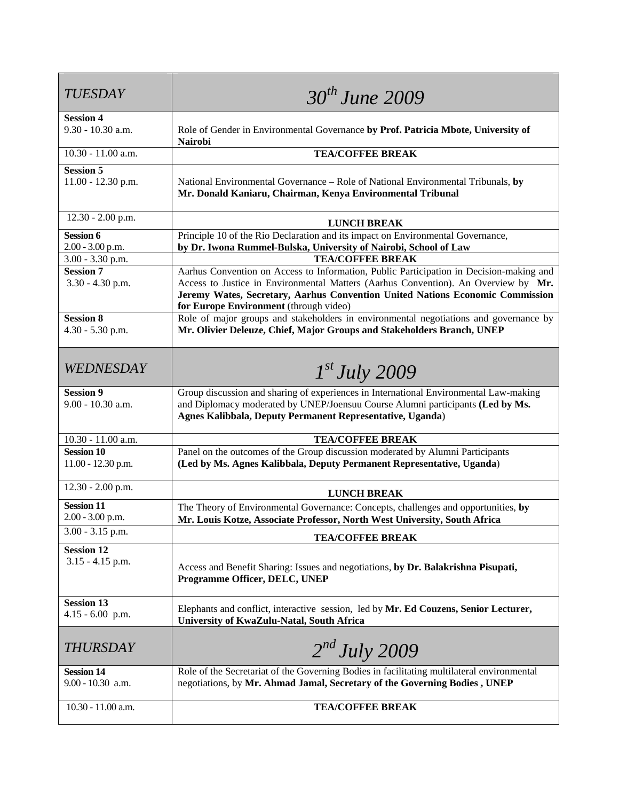| <b>TUESDAY</b>                            | $30^{th}$ June 2009                                                                                                                                                                                                                                                                                      |
|-------------------------------------------|----------------------------------------------------------------------------------------------------------------------------------------------------------------------------------------------------------------------------------------------------------------------------------------------------------|
| <b>Session 4</b><br>$9.30 - 10.30$ a.m.   | Role of Gender in Environmental Governance by Prof. Patricia Mbote, University of<br><b>Nairobi</b>                                                                                                                                                                                                      |
| 10.30 - 11.00 a.m.                        | <b>TEA/COFFEE BREAK</b>                                                                                                                                                                                                                                                                                  |
| <b>Session 5</b><br>11.00 - 12.30 p.m.    | National Environmental Governance - Role of National Environmental Tribunals, by<br>Mr. Donald Kaniaru, Chairman, Kenya Environmental Tribunal                                                                                                                                                           |
| 12.30 - 2.00 p.m.                         | <b>LUNCH BREAK</b>                                                                                                                                                                                                                                                                                       |
| <b>Session 6</b><br>$2.00 - 3.00$ p.m.    | Principle 10 of the Rio Declaration and its impact on Environmental Governance,<br>by Dr. Iwona Rummel-Bulska, University of Nairobi, School of Law                                                                                                                                                      |
| $3.00 - 3.30$ p.m.                        | <b>TEA/COFFEE BREAK</b>                                                                                                                                                                                                                                                                                  |
| <b>Session 7</b><br>3.30 - 4.30 p.m.      | Aarhus Convention on Access to Information, Public Participation in Decision-making and<br>Access to Justice in Environmental Matters (Aarhus Convention). An Overview by Mr.<br>Jeremy Wates, Secretary, Aarhus Convention United Nations Economic Commission<br>for Europe Environment (through video) |
| <b>Session 8</b><br>$4.30 - 5.30$ p.m.    | Role of major groups and stakeholders in environmental negotiations and governance by<br>Mr. Olivier Deleuze, Chief, Major Groups and Stakeholders Branch, UNEP                                                                                                                                          |
| <i>WEDNESDAY</i>                          | $1^{st}$ July 2009                                                                                                                                                                                                                                                                                       |
| <b>Session 9</b><br>9.00 - 10.30 a.m.     | Group discussion and sharing of experiences in International Environmental Law-making<br>and Diplomacy moderated by UNEP/Joensuu Course Alumni participants (Led by Ms.<br>Agnes Kalibbala, Deputy Permanent Representative, Uganda)                                                                     |
| 10.30 - 11.00 a.m.                        | <b>TEA/COFFEE BREAK</b>                                                                                                                                                                                                                                                                                  |
| <b>Session 10</b><br>$11.00 - 12.30$ p.m. | Panel on the outcomes of the Group discussion moderated by Alumni Participants<br>(Led by Ms. Agnes Kalibbala, Deputy Permanent Representative, Uganda)                                                                                                                                                  |
| $12.30 - 2.00$ p.m.                       | <b>LUNCH BREAK</b>                                                                                                                                                                                                                                                                                       |
| <b>Session 11</b><br>$2.00 - 3.00$ p.m.   | The Theory of Environmental Governance: Concepts, challenges and opportunities, by<br>Mr. Louis Kotze, Associate Professor, North West University, South Africa                                                                                                                                          |
| $3.00 - 3.15$ p.m.                        | <b>TEA/COFFEE BREAK</b>                                                                                                                                                                                                                                                                                  |
| <b>Session 12</b><br>$3.15 - 4.15$ p.m.   | Access and Benefit Sharing: Issues and negotiations, by Dr. Balakrishna Pisupati,<br>Programme Officer, DELC, UNEP                                                                                                                                                                                       |
| <b>Session 13</b><br>$4.15 - 6.00$ p.m.   | Elephants and conflict, interactive session, led by Mr. Ed Couzens, Senior Lecturer,<br>University of KwaZulu-Natal, South Africa                                                                                                                                                                        |
| <b>THURSDAY</b>                           | $2^{nd}$ July 2009                                                                                                                                                                                                                                                                                       |
| <b>Session 14</b><br>9.00 - 10.30 a.m.    | Role of the Secretariat of the Governing Bodies in facilitating multilateral environmental<br>negotiations, by Mr. Ahmad Jamal, Secretary of the Governing Bodies, UNEP                                                                                                                                  |
| 10.30 - 11.00 a.m.                        | <b>TEA/COFFEE BREAK</b>                                                                                                                                                                                                                                                                                  |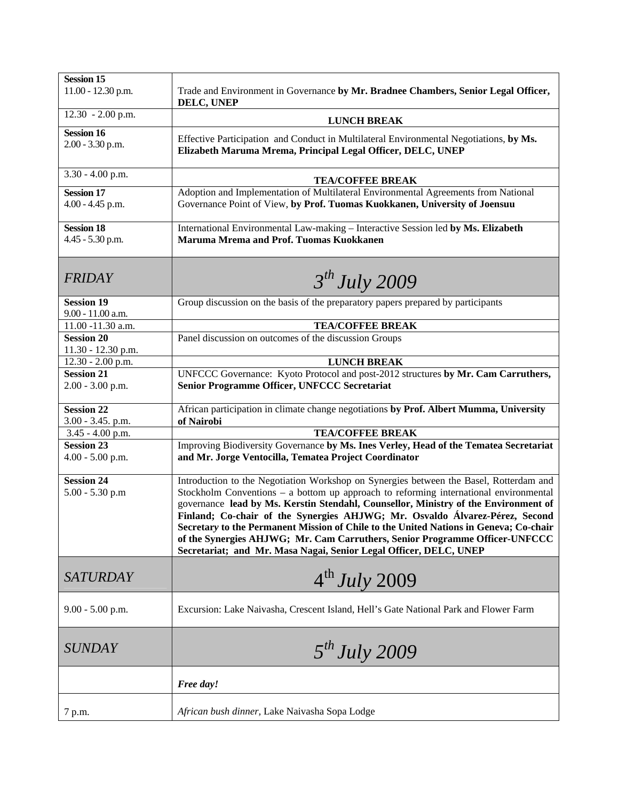| <b>Session 15</b><br>$11.00 - 12.30$ p.m. | Trade and Environment in Governance by Mr. Bradnee Chambers, Senior Legal Officer,                                                                                                                                                                                                                                                                                                                                                                                                                                                                                                                   |
|-------------------------------------------|------------------------------------------------------------------------------------------------------------------------------------------------------------------------------------------------------------------------------------------------------------------------------------------------------------------------------------------------------------------------------------------------------------------------------------------------------------------------------------------------------------------------------------------------------------------------------------------------------|
|                                           | DELC, UNEP                                                                                                                                                                                                                                                                                                                                                                                                                                                                                                                                                                                           |
| $12.30 - 2.00$ p.m.                       | <b>LUNCH BREAK</b>                                                                                                                                                                                                                                                                                                                                                                                                                                                                                                                                                                                   |
| <b>Session 16</b><br>$2.00 - 3.30$ p.m.   | Effective Participation and Conduct in Multilateral Environmental Negotiations, by Ms.<br>Elizabeth Maruma Mrema, Principal Legal Officer, DELC, UNEP                                                                                                                                                                                                                                                                                                                                                                                                                                                |
| $3.30 - 4.00$ p.m.                        | <b>TEA/COFFEE BREAK</b>                                                                                                                                                                                                                                                                                                                                                                                                                                                                                                                                                                              |
| <b>Session 17</b><br>$4.00 - 4.45$ p.m.   | Adoption and Implementation of Multilateral Environmental Agreements from National<br>Governance Point of View, by Prof. Tuomas Kuokkanen, University of Joensuu                                                                                                                                                                                                                                                                                                                                                                                                                                     |
| <b>Session 18</b><br>4.45 - 5.30 p.m.     | International Environmental Law-making - Interactive Session led by Ms. Elizabeth<br>Maruma Mrema and Prof. Tuomas Kuokkanen                                                                                                                                                                                                                                                                                                                                                                                                                                                                         |
| <b>FRIDAY</b>                             | 3 <sup>th</sup> July 2009                                                                                                                                                                                                                                                                                                                                                                                                                                                                                                                                                                            |
| <b>Session 19</b><br>9.00 - 11.00 a.m.    | Group discussion on the basis of the preparatory papers prepared by participants                                                                                                                                                                                                                                                                                                                                                                                                                                                                                                                     |
| 11.00 -11.30 a.m.                         | <b>TEA/COFFEE BREAK</b>                                                                                                                                                                                                                                                                                                                                                                                                                                                                                                                                                                              |
| <b>Session 20</b>                         | Panel discussion on outcomes of the discussion Groups                                                                                                                                                                                                                                                                                                                                                                                                                                                                                                                                                |
| 11.30 - 12.30 p.m.<br>12.30 - 2.00 p.m.   | <b>LUNCH BREAK</b>                                                                                                                                                                                                                                                                                                                                                                                                                                                                                                                                                                                   |
| <b>Session 21</b>                         | UNFCCC Governance: Kyoto Protocol and post-2012 structures by Mr. Cam Carruthers,                                                                                                                                                                                                                                                                                                                                                                                                                                                                                                                    |
| $2.00 - 3.00$ p.m.                        | <b>Senior Programme Officer, UNFCCC Secretariat</b>                                                                                                                                                                                                                                                                                                                                                                                                                                                                                                                                                  |
| <b>Session 22</b><br>3.00 - 3.45. p.m.    | African participation in climate change negotiations by Prof. Albert Mumma, University<br>of Nairobi                                                                                                                                                                                                                                                                                                                                                                                                                                                                                                 |
| 3.45 - 4.00 p.m.                          | <b>TEA/COFFEE BREAK</b>                                                                                                                                                                                                                                                                                                                                                                                                                                                                                                                                                                              |
| <b>Session 23</b><br>$4.00 - 5.00$ p.m.   | Improving Biodiversity Governance by Ms. Ines Verley, Head of the Tematea Secretariat<br>and Mr. Jorge Ventocilla, Tematea Project Coordinator                                                                                                                                                                                                                                                                                                                                                                                                                                                       |
| <b>Session 24</b><br>$5.00 - 5.30$ p.m    | Introduction to the Negotiation Workshop on Synergies between the Basel, Rotterdam and<br>Stockholm Conventions $-$ a bottom up approach to reforming international environmental<br>governance lead by Ms. Kerstin Stendahl, Counsellor, Ministry of the Environment of<br>Finland; Co-chair of the Synergies AHJWG; Mr. Osvaldo Álvarez-Pérez, Second<br>Secretary to the Permanent Mission of Chile to the United Nations in Geneva; Co-chair<br>of the Synergies AHJWG; Mr. Cam Carruthers, Senior Programme Officer-UNFCCC<br>Secretariat; and Mr. Masa Nagai, Senior Legal Officer, DELC, UNEP |
| <b>SATURDAY</b>                           | $4^{th}$ July 2009                                                                                                                                                                                                                                                                                                                                                                                                                                                                                                                                                                                   |
| $9.00 - 5.00$ p.m.                        | Excursion: Lake Naivasha, Crescent Island, Hell's Gate National Park and Flower Farm                                                                                                                                                                                                                                                                                                                                                                                                                                                                                                                 |
| <b>SUNDAY</b>                             | $5^{th}$ July 2009                                                                                                                                                                                                                                                                                                                                                                                                                                                                                                                                                                                   |
|                                           | Free day!                                                                                                                                                                                                                                                                                                                                                                                                                                                                                                                                                                                            |
| 7 p.m.                                    | African bush dinner, Lake Naivasha Sopa Lodge                                                                                                                                                                                                                                                                                                                                                                                                                                                                                                                                                        |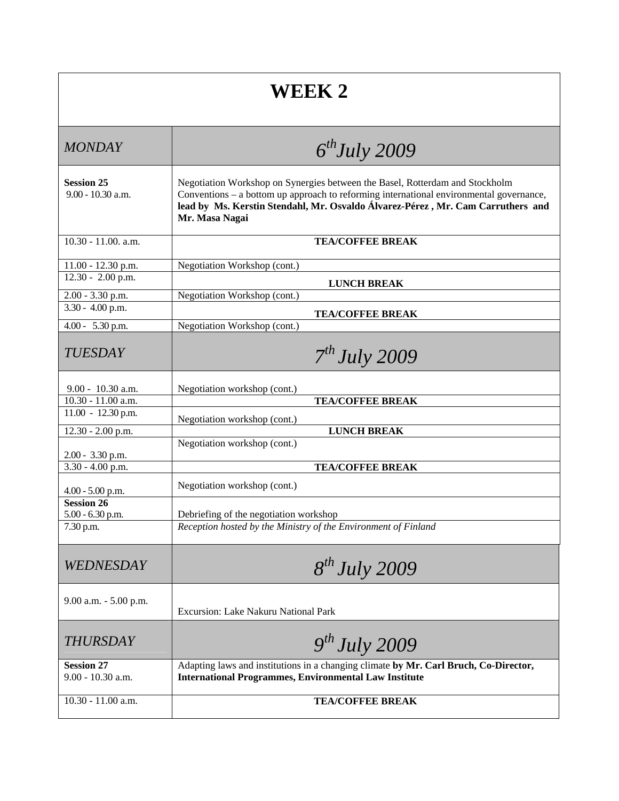## **WEEK 2**

| <b>MONDAY</b>                            | $6^{th}$ July 2009                                                                                                                                                                                                                                                           |
|------------------------------------------|------------------------------------------------------------------------------------------------------------------------------------------------------------------------------------------------------------------------------------------------------------------------------|
| <b>Session 25</b><br>$9.00 - 10.30$ a.m. | Negotiation Workshop on Synergies between the Basel, Rotterdam and Stockholm<br>Conventions - a bottom up approach to reforming international environmental governance,<br>lead by Ms. Kerstin Stendahl, Mr. Osvaldo Álvarez-Pérez, Mr. Cam Carruthers and<br>Mr. Masa Nagai |
| 10.30 - 11.00. a.m.                      | <b>TEA/COFFEE BREAK</b>                                                                                                                                                                                                                                                      |
| 11.00 - 12.30 p.m.                       | Negotiation Workshop (cont.)                                                                                                                                                                                                                                                 |
| $12.30 - 2.00$ p.m.                      | <b>LUNCH BREAK</b>                                                                                                                                                                                                                                                           |
| 2.00 - 3.30 p.m.                         | Negotiation Workshop (cont.)                                                                                                                                                                                                                                                 |
| 3.30 - 4.00 p.m.                         | <b>TEA/COFFEE BREAK</b>                                                                                                                                                                                                                                                      |
| 4.00 - 5.30 p.m.                         | Negotiation Workshop (cont.)                                                                                                                                                                                                                                                 |
| <b>TUESDAY</b>                           | 7 <sup>th</sup> July 2009                                                                                                                                                                                                                                                    |
| 9.00 - 10.30 a.m.                        | Negotiation workshop (cont.)                                                                                                                                                                                                                                                 |
| 10.30 - 11.00 a.m.                       | <b>TEA/COFFEE BREAK</b>                                                                                                                                                                                                                                                      |
| $11.00 - 12.30$ p.m.                     | Negotiation workshop (cont.)                                                                                                                                                                                                                                                 |
| 12.30 - 2.00 p.m.                        | <b>LUNCH BREAK</b>                                                                                                                                                                                                                                                           |
|                                          | Negotiation workshop (cont.)                                                                                                                                                                                                                                                 |
| 2.00 - 3.30 p.m.                         |                                                                                                                                                                                                                                                                              |
| $3.30 - 4.00$ p.m.                       | <b>TEA/COFFEE BREAK</b>                                                                                                                                                                                                                                                      |
| $4.00 - 5.00$ p.m.                       | Negotiation workshop (cont.)                                                                                                                                                                                                                                                 |
| <b>Session 26</b><br>5.00 - 6.30 p.m.    |                                                                                                                                                                                                                                                                              |
| 7.30 p.m.                                | Debriefing of the negotiation workshop<br>Reception hosted by the Ministry of the Environment of Finland                                                                                                                                                                     |
|                                          |                                                                                                                                                                                                                                                                              |
| WEDNESDAY                                | $8^{th}$ July 2009                                                                                                                                                                                                                                                           |
| 9.00 a.m. - 5.00 p.m.                    | <b>Excursion: Lake Nakuru National Park</b>                                                                                                                                                                                                                                  |
| <b>THURSDAY</b>                          | $9^{th}$ July 2009                                                                                                                                                                                                                                                           |
| <b>Session 27</b><br>9.00 - 10.30 a.m.   | Adapting laws and institutions in a changing climate by Mr. Carl Bruch, Co-Director,<br><b>International Programmes, Environmental Law Institute</b>                                                                                                                         |
| $10.30 - 11.00$ a.m.                     | <b>TEA/COFFEE BREAK</b>                                                                                                                                                                                                                                                      |